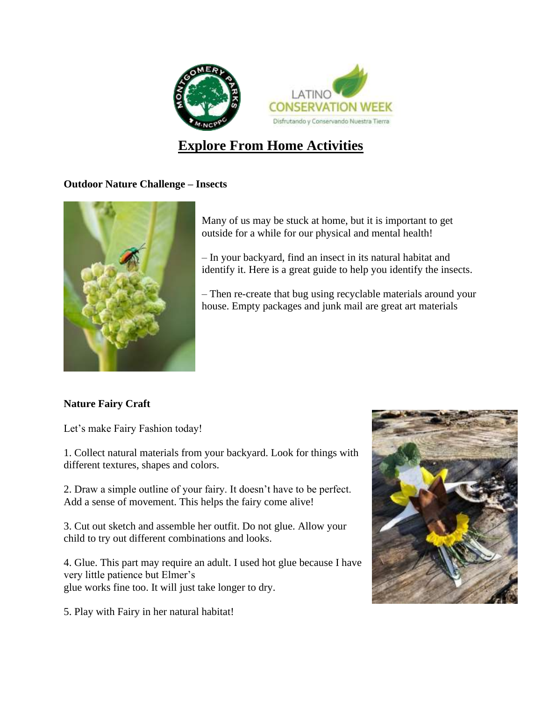

# **Explore From Home Activities**

### **Outdoor Nature Challenge – Insects**



Many of us may be stuck at home, but it is important to get outside for a while for our physical and mental health!

– In your backyard, find an insect in its natural habitat and identify it. Here is a great [guide](https://www.insectidentification.org/bugfinder-start.asp) to help you identify the insects.

– Then re-create that bug using recyclable materials around your house. Empty packages and junk mail are great art materials

## **Nature Fairy Craft**

Let's make Fairy Fashion today!

1. Collect natural materials from your backyard. Look for things with different textures, shapes and colors.

2. Draw a simple outline of your fairy. It doesn't have to be perfect. Add a sense of movement. This helps the fairy come alive!

3. Cut out sketch and assemble her outfit. Do not glue. Allow your child to try out different combinations and looks.

4. Glue. This part may require an adult. I used hot glue because I have very little patience but Elmer's glue works fine too. It will just take longer to dry.

5. Play with Fairy in her natural habitat!

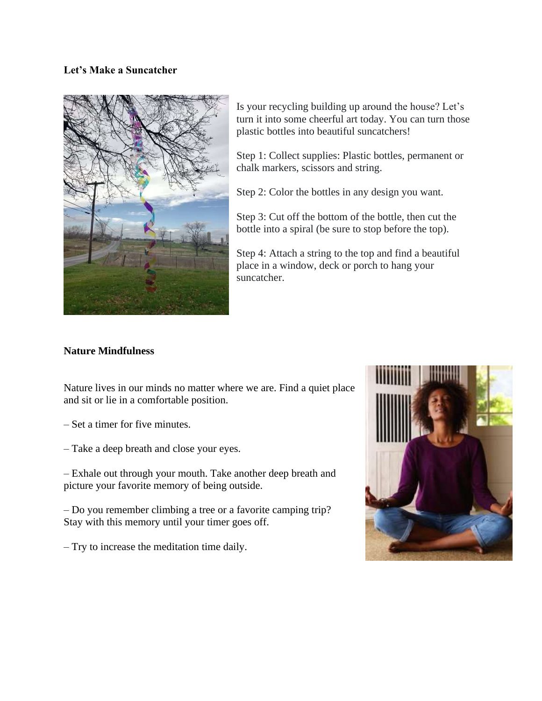#### **Let's Make a Suncatcher**



Is your recycling building up around the house? Let's turn it into some cheerful art today. You can turn those plastic bottles into beautiful suncatchers!

Step 1: Collect supplies: Plastic bottles, permanent or chalk markers, scissors and string.

Step 2: Color the bottles in any design you want.

Step 3: Cut off the bottom of the bottle, then cut the bottle into a spiral (be sure to stop before the top).

Step 4: Attach a string to the top and find a beautiful place in a window, deck or porch to hang your suncatcher.

#### **Nature Mindfulness**

Nature lives in our minds no matter where we are. Find a quiet place and sit or lie in a comfortable position.

- Set a timer for five minutes.
- Take a deep breath and close your eyes.

– Exhale out through your mouth. Take another deep breath and picture your favorite memory of being outside.

– Do you remember climbing a tree or a favorite camping trip? Stay with this memory until your timer goes off.

– Try to increase the meditation time daily.